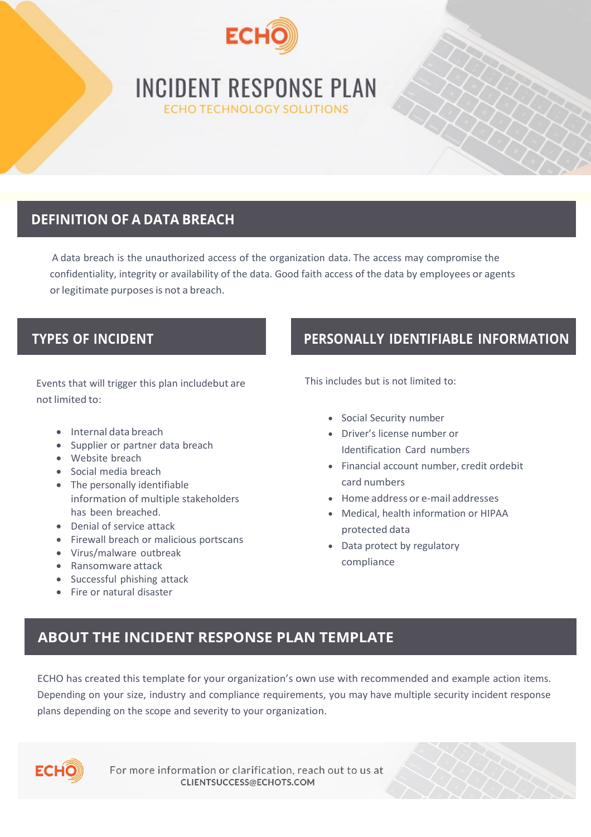

# **INCIDENT RESPONSE PLAN ECHO TECHNOLOGY SOLUTIONS**

# **DEFINITION OF A DATA BREACH**

A data breach is the unauthorized access of the organization data. The access may compromise the confidentiality, integrity or availability of the data. Good faith access of the data by employees or agents or legitimate purposes is not a breach.

Events that will trigger this plan includebut are not limited to:

- Internal data breach
- Supplier or partner data breach
- Website breach
- Social media breach
- The personally identifiable information of multiple stakeholders has been breached.
- Denial of service attack
- Firewall breach or malicious portscans
- Virus/malware outbreak
- Ransomware attack
- Successful phishing attack
- Fire or natural disaster

# **TYPES OF INCIDENT PERSONALLY IDENTIFIABLE INFORMATION**

This includes but is not limited to:

- Social Security number
- Driver's license number or Identification Card numbers
- Financial account number, credit ordebit card numbers
- Home address or e-mail addresses
- Medical, health information or HIPAA protected data
- Data protect by regulatory compliance

# **ABOUT THE INCIDENT RESPONSE PLAN TEMPLATE**

ECHO has created this template for your organization's own use with recommended and example action items. Depending on your size, industry and compliance requirements, you may have multiple security incident response plans depending on the scope and severity to your organization.



For more information or clarification, reach out to us at CLIENTSUCCESS@ECHOTS.COM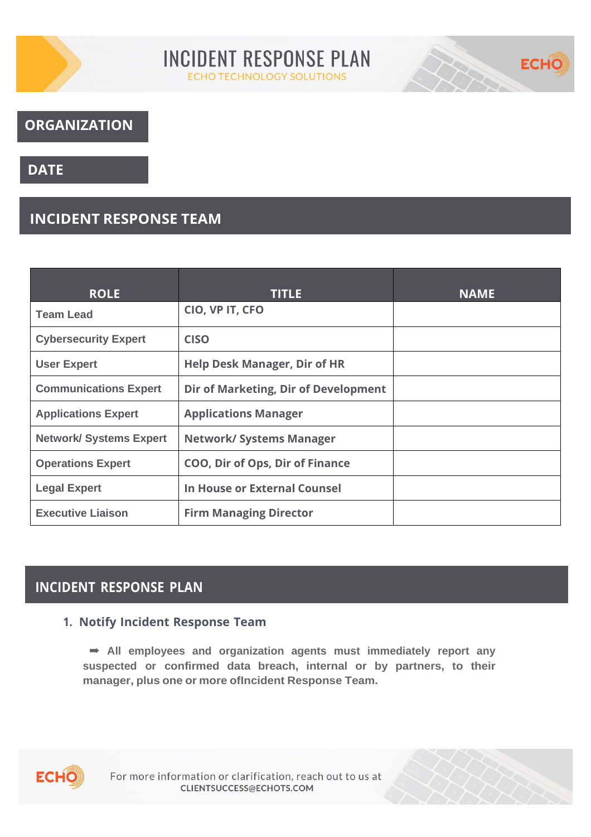



## **ORGANIZATION**

## **DATE**

## **INCIDENT RESPONSE TEAM**

| <b>ROLE</b>                    | <b>TITLE</b>                         | <b>NAME</b> |
|--------------------------------|--------------------------------------|-------------|
| <b>Team Lead</b>               | CIO, VP IT, CFO                      |             |
| <b>Cybersecurity Expert</b>    | <b>CISO</b>                          |             |
| <b>User Expert</b>             | <b>Help Desk Manager, Dir of HR</b>  |             |
| <b>Communications Expert</b>   | Dir of Marketing, Dir of Development |             |
| <b>Applications Expert</b>     | <b>Applications Manager</b>          |             |
| <b>Network/ Systems Expert</b> | <b>Network/ Systems Manager</b>      |             |
| <b>Operations Expert</b>       | COO, Dir of Ops, Dir of Finance      |             |
| <b>Legal Expert</b>            | In House or External Counsel         |             |
| <b>Executive Liaison</b>       | <b>Firm Managing Director</b>        |             |

## **INCIDENT RESPONSE PLAN**

### **1. Notify Incident Response Team**

➡ **All employees and organization agents must immediately report any suspected or confirmed data breach, internal or by partners, to their manager, plus one or more ofIncident Response Team.**